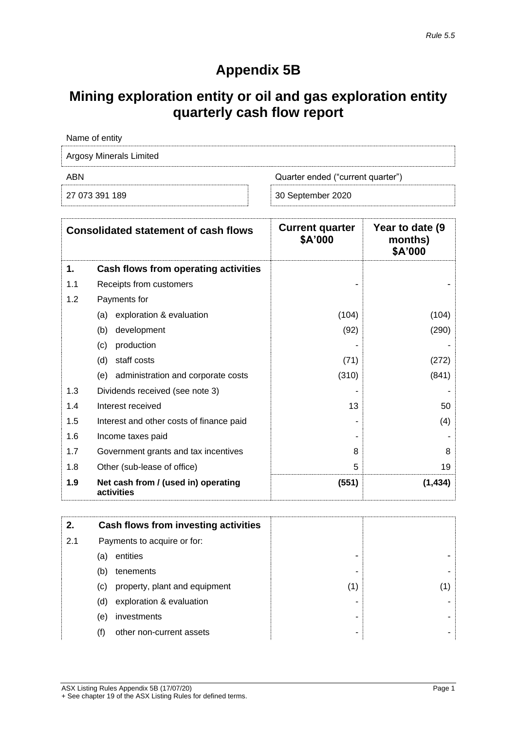## **Appendix 5B**

# **Mining exploration entity or oil and gas exploration entity quarterly cash flow report**

| Name of entity                 |                                   |
|--------------------------------|-----------------------------------|
| <b>Argosy Minerals Limited</b> |                                   |
| ABN                            | Quarter ended ("current quarter") |
| 27 073 391 189                 | 30 September 2020                 |

|     | <b>Consolidated statement of cash flows</b>       | <b>Current quarter</b><br>\$A'000 | Year to date (9)<br>months)<br>\$A'000 |
|-----|---------------------------------------------------|-----------------------------------|----------------------------------------|
| 1.  | Cash flows from operating activities              |                                   |                                        |
| 1.1 | Receipts from customers                           |                                   |                                        |
| 1.2 | Payments for                                      |                                   |                                        |
|     | exploration & evaluation<br>(a)                   | (104)                             | (104)                                  |
|     | development<br>(b)                                | (92)                              | (290)                                  |
|     | production<br>(c)                                 |                                   |                                        |
|     | staff costs<br>(d)                                | (71)                              | (272)                                  |
|     | (e) administration and corporate costs            | (310)                             | (841)                                  |
| 1.3 | Dividends received (see note 3)                   |                                   |                                        |
| 1.4 | Interest received                                 | 13                                | 50                                     |
| 1.5 | Interest and other costs of finance paid          |                                   | (4)                                    |
| 1.6 | Income taxes paid                                 |                                   |                                        |
| 1.7 | Government grants and tax incentives              | 8                                 | 8                                      |
| 1.8 | Other (sub-lease of office)                       | 5                                 | 19                                     |
| 1.9 | Net cash from / (used in) operating<br>activities | (551)                             | (1, 434)                               |

| 2.  |     | <b>Cash flows from investing activities</b> |     |    |
|-----|-----|---------------------------------------------|-----|----|
| 2.1 |     | Payments to acquire or for:                 |     |    |
|     | (a) | entities                                    | -   |    |
|     | (b) | tenements                                   | ۰   |    |
|     | (C) | property, plant and equipment               | (1) | 1) |
|     | (d) | exploration & evaluation                    | -   |    |
|     | (e) | investments                                 | -   |    |
|     | (f) | other non-current assets                    | -   |    |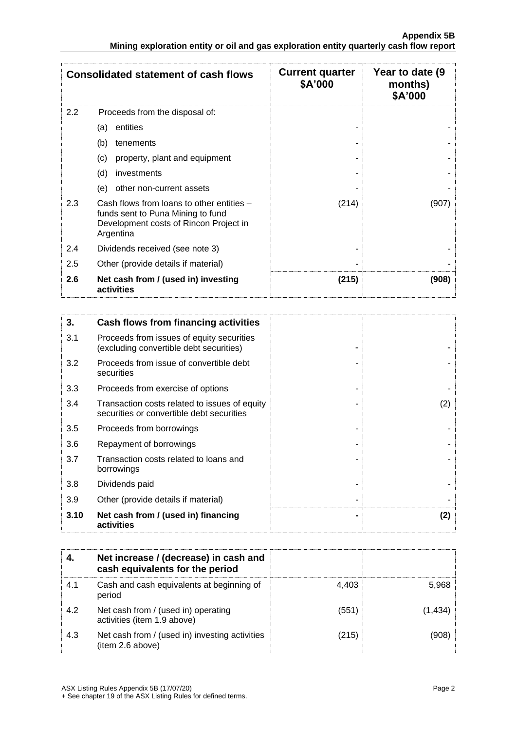|     | <b>Consolidated statement of cash flows</b>                                                                                           | <b>Current quarter</b><br>\$A'000 | Year to date (9)<br>months)<br>\$A'000 |
|-----|---------------------------------------------------------------------------------------------------------------------------------------|-----------------------------------|----------------------------------------|
| 2.2 | Proceeds from the disposal of:                                                                                                        |                                   |                                        |
|     | entities<br>(a)                                                                                                                       |                                   |                                        |
|     | (b)<br>tenements                                                                                                                      |                                   |                                        |
|     | (c)<br>property, plant and equipment                                                                                                  |                                   |                                        |
|     | (d)<br>investments                                                                                                                    |                                   |                                        |
|     | other non-current assets<br>(e)                                                                                                       |                                   |                                        |
| 2.3 | Cash flows from loans to other entities -<br>funds sent to Puna Mining to fund<br>Development costs of Rincon Project in<br>Argentina | (214)                             | (907)                                  |
| 2.4 | Dividends received (see note 3)                                                                                                       |                                   |                                        |
| 2.5 | Other (provide details if material)                                                                                                   |                                   |                                        |
| 2.6 | Net cash from / (used in) investing<br>activities                                                                                     | (215)                             | (908)                                  |

| 3.   | Cash flows from financing activities                                                       |     |
|------|--------------------------------------------------------------------------------------------|-----|
| 3.1  | Proceeds from issues of equity securities<br>(excluding convertible debt securities)       |     |
| 3.2  | Proceeds from issue of convertible debt<br>securities                                      |     |
| 3.3  | Proceeds from exercise of options                                                          |     |
| 3.4  | Transaction costs related to issues of equity<br>securities or convertible debt securities | (2) |
| 3.5  | Proceeds from borrowings                                                                   |     |
| 3.6  | Repayment of borrowings                                                                    |     |
| 3.7  | Transaction costs related to loans and<br>borrowings                                       |     |
| 3.8  | Dividends paid                                                                             |     |
| 3.9  | Other (provide details if material)                                                        |     |
| 3.10 | Net cash from / (used in) financing<br>activities                                          | (2) |

|     | Net increase / (decrease) in cash and<br>cash equivalents for the period |       |         |
|-----|--------------------------------------------------------------------------|-------|---------|
| 4.1 | Cash and cash equivalents at beginning of<br>period                      | 4.403 | 5,968   |
| 4.2 | Net cash from / (used in) operating<br>activities (item 1.9 above)       | (551) | (1,434) |
| 4.3 | Net cash from / (used in) investing activities<br>(item 2.6 above)       | (215) |         |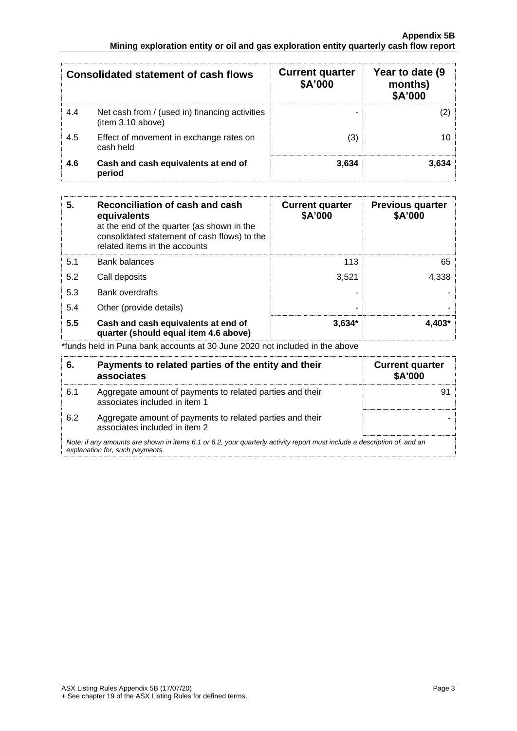|     | <b>Consolidated statement of cash flows</b>                         | <b>Current quarter</b><br>\$A'000 | Year to date (9<br>months)<br>\$A'000 |
|-----|---------------------------------------------------------------------|-----------------------------------|---------------------------------------|
| 4.4 | Net cash from / (used in) financing activities<br>(item 3.10 above) |                                   |                                       |
| 4.5 | Effect of movement in exchange rates on<br>cash held                | (3)                               |                                       |
| 4.6 | Cash and cash equivalents at end of<br>period                       | 3.634                             | 3.634                                 |

| 5.  | Reconciliation of cash and cash<br>equivalents<br>at the end of the quarter (as shown in the<br>consolidated statement of cash flows) to the<br>related items in the accounts | <b>Current quarter</b><br>\$A'000 | <b>Previous quarter</b><br>\$A'000 |
|-----|-------------------------------------------------------------------------------------------------------------------------------------------------------------------------------|-----------------------------------|------------------------------------|
| 5.1 | <b>Bank balances</b>                                                                                                                                                          | 113                               | 65                                 |
| 5.2 | Call deposits                                                                                                                                                                 | 3.521                             | 4,338                              |
| 5.3 | <b>Bank overdrafts</b>                                                                                                                                                        |                                   |                                    |
| 5.4 | Other (provide details)                                                                                                                                                       | ۰                                 |                                    |
| 5.5 | Cash and cash equivalents at end of<br>quarter (should equal item 4.6 above)                                                                                                  | $3.634*$                          | $4.403*$                           |

\*funds held in Puna bank accounts at 30 June 2020 not included in the above

| 6.  | Payments to related parties of the entity and their<br>associates                                                                                           | <b>Current quarter</b><br>\$A'000 |
|-----|-------------------------------------------------------------------------------------------------------------------------------------------------------------|-----------------------------------|
| 6.1 | Aggregate amount of payments to related parties and their<br>associates included in item 1                                                                  |                                   |
| 6.2 | Aggregate amount of payments to related parties and their<br>associates included in item 2                                                                  |                                   |
|     | Note: if any amounts are shown in items 6.1 or 6.2, your quarterly activity report must include a description of, and an<br>explanation for, such payments. |                                   |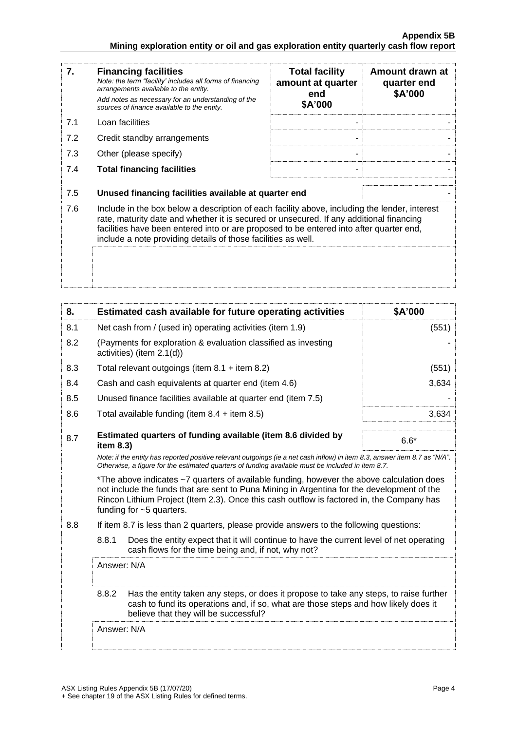| 7.  | <b>Financing facilities</b><br>Note: the term "facility' includes all forms of financing<br>arrangements available to the entity.<br>Add notes as necessary for an understanding of the<br>sources of finance available to the entity.                                                                                                               | <b>Total facility</b><br>amount at quarter<br>end<br>\$A'000 | Amount drawn at<br>quarter end<br>\$A'000 |
|-----|------------------------------------------------------------------------------------------------------------------------------------------------------------------------------------------------------------------------------------------------------------------------------------------------------------------------------------------------------|--------------------------------------------------------------|-------------------------------------------|
| 7.1 | Loan facilities                                                                                                                                                                                                                                                                                                                                      |                                                              |                                           |
| 7.2 | Credit standby arrangements                                                                                                                                                                                                                                                                                                                          |                                                              |                                           |
| 7.3 | Other (please specify)                                                                                                                                                                                                                                                                                                                               |                                                              |                                           |
| 7.4 | <b>Total financing facilities</b>                                                                                                                                                                                                                                                                                                                    |                                                              |                                           |
| 7.5 | Unused financing facilities available at quarter end                                                                                                                                                                                                                                                                                                 |                                                              |                                           |
| 7.6 | Include in the box below a description of each facility above, including the lender, interest<br>rate, maturity date and whether it is secured or unsecured. If any additional financing<br>facilities have been entered into or are proposed to be entered into after quarter end,<br>include a note providing details of those facilities as well. |                                                              |                                           |
|     |                                                                                                                                                                                                                                                                                                                                                      |                                                              |                                           |

| 8.  | Estimated cash available for future operating activities                                                                                                                                                                                                                                                           | \$A'000 |
|-----|--------------------------------------------------------------------------------------------------------------------------------------------------------------------------------------------------------------------------------------------------------------------------------------------------------------------|---------|
| 8.1 | Net cash from / (used in) operating activities (item 1.9)                                                                                                                                                                                                                                                          | (551)   |
| 8.2 | (Payments for exploration & evaluation classified as investing<br>activities) (item 2.1(d))                                                                                                                                                                                                                        |         |
| 8.3 | Total relevant outgoings (item $8.1 +$ item $8.2$ )                                                                                                                                                                                                                                                                | (551)   |
| 8.4 | Cash and cash equivalents at quarter end (item 4.6)                                                                                                                                                                                                                                                                | 3,634   |
| 8.5 | Unused finance facilities available at quarter end (item 7.5)                                                                                                                                                                                                                                                      |         |
| 8.6 | Total available funding (item $8.4 +$ item $8.5$ )                                                                                                                                                                                                                                                                 | 3,634   |
| 8.7 | Estimated quarters of funding available (item 8.6 divided by<br>item 8.3)                                                                                                                                                                                                                                          | $6.6*$  |
|     | Note: if the entity has reported positive relevant outgoings (ie a net cash inflow) in item 8.3, answer item 8.7 as "N/A".<br>Otherwise, a figure for the estimated quarters of funding available must be included in item 8.7.                                                                                    |         |
|     | *The above indicates ~7 quarters of available funding, however the above calculation does<br>not include the funds that are sent to Puna Mining in Argentina for the development of the<br>Rincon Lithium Project (Item 2.3). Once this cash outflow is factored in, the Company has<br>funding for $~5$ quarters. |         |
| 8.8 | If item 8.7 is less than 2 quarters, please provide answers to the following questions:                                                                                                                                                                                                                            |         |
|     | 8.8.1<br>Does the entity expect that it will continue to have the current level of net operating<br>cash flows for the time being and, if not, why not?                                                                                                                                                            |         |
|     | Answer: N/A                                                                                                                                                                                                                                                                                                        |         |
|     | 8.8.2<br>Has the entity taken any steps, or does it propose to take any steps, to raise further<br>cash to fund its operations and, if so, what are those steps and how likely does it<br>believe that they will be successful?                                                                                    |         |
|     | Answer: N/A                                                                                                                                                                                                                                                                                                        |         |